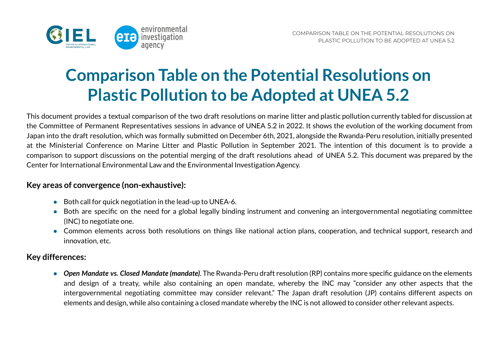

## **Comparison Table on the Potential Resolutions on Plastic Pollution to be Adopted at UNEA 5.2**

This document provides a textual comparison of the two draft resolutions on marine litter and plastic pollution currently tabled for discussion at the Committee of Permanent Representatives sessions in advance of UNEA 5.2 in 2022. It shows the evolution of the working document from Japan into the draft resolution, which was formally submitted on December 6th, 2021, alongside the Rwanda-Peru resolution, initially presented at the Ministerial Conference on Marine Litter and Plastic Pollution in September 2021. The intention of this document is to provide a comparison to support discussions on the potential merging of the draft resolutions ahead of UNEA 5.2. This document was prepared by the Center for International Environmental Law and the Environmental Investigation Agency.

## **Key areas of convergence (non-exhaustive):**

- Both call for quick negotiation in the lead-up to UNEA-6.
- Both are specific on the need for a global legally binding instrument and convening an intergovernmental negotiating committee (INC) to negotiate one.
- Common elements across both resolutions on things like national action plans, cooperation, and technical support, research and innovation, etc.

## **Key differences:**

● *Open Mandate vs. Closed Mandate (mandate)*. The Rwanda-Peru draft resolution (RP) contains more specific guidance on the elements and design of a treaty, while also containing an open mandate, whereby the INC may "consider any other aspects that the intergovernmental negotiating committee may consider relevant." The Japan draft resolution (JP) contains different aspects on elements and design, while also containing a closed mandate whereby the INC is not allowed to consider other relevant aspects.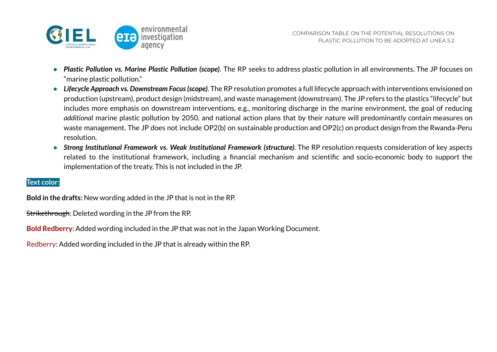

- *Plastic Pollution vs. Marine Plastic Pollution (scope)*. The RP seeks to address plastic pollution in all environments. The JP focuses on "marine plastic pollution."
- *Lifecycle Approach vs. Downstream Focus(scope)*. The RP resolution promotes a full lifecycle approach with interventions envisioned on production (upstream), product design (midstream), and waste management (downstream). The JP refers to the plastics "lifecycle" but includes more emphasis on downstream interventions, e.g., monitoring discharge in the marine environment, the goal of reducing *additional* marine plastic pollution by 2050, and national action plans that by their nature will predominantly contain measures on waste management. The JP does not include OP2(b) on sustainable production and OP2(c) on product design from the Rwanda-Peru resolution.
- *Strong Institutional Framework vs. Weak Institutional Framework (structure)*. The RP resolution requests consideration of key aspects related to the institutional framework, including a financial mechanism and scientific and socio-economic body to support the implementation of the treaty. This is not included in the JP.

## **Text color**:

**Bold in the drafts:** New wording added in the JP that is not in the RP.

Strikethrough: Deleted wording in the JP from the RP.

**Bold Redberry**: Added wording included in the JP that was not in the Japan Working Document.

Redberry: Added wording included in the JP that is already within the RP.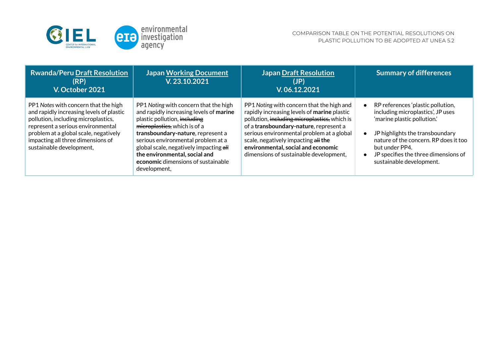

| <b>Rwanda/Peru Draft Resolution</b><br>(RP)<br>V. October 2021                                                                                                                                                                                                         | <b>Japan Working Document</b><br>V.23.10.2021                                                                                                                                                                                                                                                                                                                | <b>Japan Draft Resolution</b><br>(JP)<br>V.06.12.2021                                                                                                                                                                                                                                                                                                  | <b>Summary of differences</b>                                                                                                                                                                                                                                           |
|------------------------------------------------------------------------------------------------------------------------------------------------------------------------------------------------------------------------------------------------------------------------|--------------------------------------------------------------------------------------------------------------------------------------------------------------------------------------------------------------------------------------------------------------------------------------------------------------------------------------------------------------|--------------------------------------------------------------------------------------------------------------------------------------------------------------------------------------------------------------------------------------------------------------------------------------------------------------------------------------------------------|-------------------------------------------------------------------------------------------------------------------------------------------------------------------------------------------------------------------------------------------------------------------------|
| PP1 Notes with concern that the high<br>and rapidly increasing levels of plastic<br>pollution, including microplastics,<br>represent a serious environmental<br>problem at a global scale, negatively<br>impacting all three dimensions of<br>sustainable development, | PP1 Noting with concern that the high<br>and rapidly increasing levels of marine<br>plastic pollution, including<br>microplastics, which is of a<br>transboundary-nature, represent a<br>serious environmental problem at a<br>global scale, negatively impacting all<br>the environmental, social and<br>economic dimensions of sustainable<br>development, | PP1 Noting with concern that the high and<br>rapidly increasing levels of marine plastic<br>pollution, including microplastics, which is<br>of a transboundary-nature, represent a<br>serious environmental problem at a global<br>scale, negatively impacting all the<br>environmental, social and economic<br>dimensions of sustainable development, | RP references 'plastic pollution,<br>including microplastics', JP uses<br>'marine plastic pollution.'<br>JP highlights the transboundary<br>nature of the concern. RP does it too<br>but under PP4.<br>JP specifies the three dimensions of<br>sustainable development. |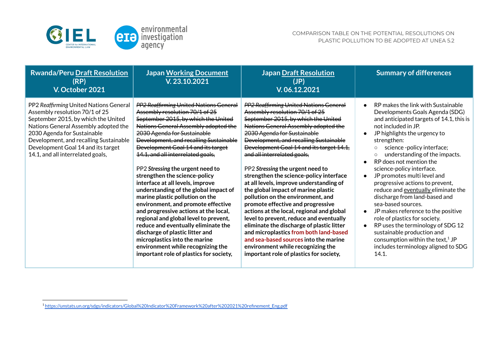

| <b>Rwanda/Peru Draft Resolution</b><br>(RP)<br>V. October 2021                                                                                                                                                                                                                                              | <b>Japan Working Document</b><br>V.23.10.2021                                                                                                                                                                                                                                                                                                                                                                                                                                                                                                                                                                                                                                                                                                                                                                              | <b>Japan Draft Resolution</b><br>(JP)<br>V.06.12.2021                                                                                                                                                                                                                                                                                                                                                                                                                                                                                                                                                                                                                                                                                                                                                                                                                 | <b>Summary of differences</b>                                                                                                                                                                                                                                                                                                                                                                                                                                                                                                                                                                                                                                                                                                                  |
|-------------------------------------------------------------------------------------------------------------------------------------------------------------------------------------------------------------------------------------------------------------------------------------------------------------|----------------------------------------------------------------------------------------------------------------------------------------------------------------------------------------------------------------------------------------------------------------------------------------------------------------------------------------------------------------------------------------------------------------------------------------------------------------------------------------------------------------------------------------------------------------------------------------------------------------------------------------------------------------------------------------------------------------------------------------------------------------------------------------------------------------------------|-----------------------------------------------------------------------------------------------------------------------------------------------------------------------------------------------------------------------------------------------------------------------------------------------------------------------------------------------------------------------------------------------------------------------------------------------------------------------------------------------------------------------------------------------------------------------------------------------------------------------------------------------------------------------------------------------------------------------------------------------------------------------------------------------------------------------------------------------------------------------|------------------------------------------------------------------------------------------------------------------------------------------------------------------------------------------------------------------------------------------------------------------------------------------------------------------------------------------------------------------------------------------------------------------------------------------------------------------------------------------------------------------------------------------------------------------------------------------------------------------------------------------------------------------------------------------------------------------------------------------------|
| PP2 Reaffirming United Nations General<br>Assembly resolution 70/1 of 25<br>September 2015, by which the United<br>Nations General Assembly adopted the<br>2030 Agenda for Sustainable<br>Development, and recalling Sustainable<br>Development Goal 14 and its target<br>14.1, and all interrelated goals, | PP2 Reaffirming United Nations General<br>Assembly resolution 70/1 of 25<br>September 2015, by which the United<br>Nations General Assembly adopted the<br>2030 Agenda for Sustainable<br><b>Development, and recalling Sustainable</b><br>Development Goal 14 and its target<br>14.1, and all interrelated goals,<br>PP2 Stressing the urgent need to<br>strengthen the science-policy<br>interface at all levels, improve<br>understanding of the global impact of<br>marine plastic pollution on the<br>environment, and promote effective<br>and progressive actions at the local,<br>regional and global level to prevent,<br>reduce and eventually eliminate the<br>discharge of plastic litter and<br>microplastics into the marine<br>environment while recognizing the<br>important role of plastics for society, | <b>PP2 Reaffirming United Nations General</b><br>Assembly resolution 70/1 of 25<br>September 2015, by which the United<br>Nations General Assembly adopted the<br>2030 Agenda for Sustainable<br>Development, and recalling Sustainable<br>Development Goal 14 and its target 14.1,<br>and all interrelated goals,<br>PP2 Stressing the urgent need to<br>strengthen the science-policy interface<br>at all levels, improve understanding of<br>the global impact of marine plastic<br>pollution on the environment, and<br>promote effective and progressive<br>actions at the local, regional and global<br>level to prevent, reduce and eventually<br>eliminate the discharge of plastic litter<br>and microplastics from both land-based<br>and sea-based sources into the marine<br>environment while recognizing the<br>important role of plastics for society, | RP makes the link with Sustainable<br>Developments Goals Agenda (SDG)<br>and anticipated targets of 14.1, this is<br>not included in JP.<br>JP highlights the urgency to<br>strengthen:<br>science -policy interface;<br>$\circ$<br>understanding of the impacts.<br>$\circ$<br>RP does not mention the<br>science-policy interface.<br>JP promotes multi level and<br>progressive actions to prevent,<br>reduce and eventually eliminate the<br>discharge from land-based and<br>sea-based sources.<br>JP makes reference to the positive<br>role of plastics for society.<br>RP uses the terminology of SDG 12<br>sustainable production and<br>consumption within the text, <sup>1</sup> JP<br>includes terminology aligned to SDG<br>14.1. |

<sup>1</sup> [https://unstats.un.org/sdgs/indicators/Global%20Indicator%20Framework%20after%202021%20refinement\\_Eng.pdf](https://unstats.un.org/sdgs/indicators/Global%20Indicator%20Framework%20after%202021%20refinement_Eng.pdf)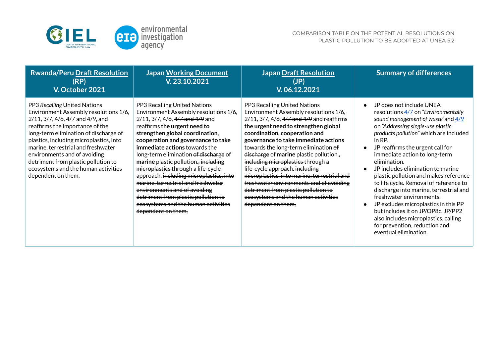

| <b>Rwanda/Peru Draft Resolution</b><br>(RP)<br>V. October 2021                                                                                                                                                                                                                                                                                                                                             | <b>Japan Working Document</b><br>V.23.10.2021                                                                                                                                                                                                                                                                                                                                                                                                                                                                                                                                                  | <b>Japan Draft Resolution</b><br>(JP)<br>V. 06.12.2021                                                                                                                                                                                                                                                                                                                                                                                                                                                                                                                                      | <b>Summary of differences</b>                                                                                                                                                                                                                                                                                                                                                                                                                                                                                                                                                                                                                                               |
|------------------------------------------------------------------------------------------------------------------------------------------------------------------------------------------------------------------------------------------------------------------------------------------------------------------------------------------------------------------------------------------------------------|------------------------------------------------------------------------------------------------------------------------------------------------------------------------------------------------------------------------------------------------------------------------------------------------------------------------------------------------------------------------------------------------------------------------------------------------------------------------------------------------------------------------------------------------------------------------------------------------|---------------------------------------------------------------------------------------------------------------------------------------------------------------------------------------------------------------------------------------------------------------------------------------------------------------------------------------------------------------------------------------------------------------------------------------------------------------------------------------------------------------------------------------------------------------------------------------------|-----------------------------------------------------------------------------------------------------------------------------------------------------------------------------------------------------------------------------------------------------------------------------------------------------------------------------------------------------------------------------------------------------------------------------------------------------------------------------------------------------------------------------------------------------------------------------------------------------------------------------------------------------------------------------|
| PP3 Recalling United Nations<br>Environment Assembly resolutions 1/6,<br>2/11, 3/7, 4/6, 4/7 and 4/9, and<br>reaffirms the importance of the<br>long-term elimination of discharge of<br>plastics, including microplastics, into<br>marine, terrestrial and freshwater<br>environments and of avoiding<br>detriment from plastic pollution to<br>ecosystems and the human activities<br>dependent on them, | PP3 Recalling United Nations<br>Environment Assembly resolutions 1/6,<br>2/11, 3/7, 4/6, 4/7 and 4/9 and<br>reaffirms the urgent need to<br>strengthen global coordination,<br>cooperation and governance to take<br>immediate actions towards the<br>long-term elimination of discharge of<br>marine plastic pollution., including<br>microplastics through a life-cycle<br>approach. including microplastics, into<br>marine, terrestrial and freshwater<br>environments and of avoiding<br>detriment from plastic pollution to<br>ecosystems and the human activities<br>dependent on them, | PP3 Recalling United Nations<br>Environment Assembly resolutions 1/6,<br>2/11, 3/7, 4/6, 4/7 and 4/9 and reaffirms<br>the urgent need to strengthen global<br>coordination, cooperation and<br>governance to take immediate actions<br>towards the long-term elimination of<br>discharge of marine plastic pollution.,<br>including microplastics through a<br>life-cycle approach. including<br>microplastics, into marine, terrestrial and<br>freshwater environments and of avoiding<br>detriment from plastic pollution to<br>ecosystems and the human activities<br>dependent on them, | JP does not include UNEA<br>resolutions 4/7 on "Environmentally<br>sound management of waste" and $\frac{4}{9}$<br>on "Addressing single-use plastic<br>products pollution" which are included<br>in RP.<br>JP reaffirms the urgent call for<br>immediate action to long-term<br>elimination.<br>JP includes elimination to marine<br>plastic pollution and makes reference<br>to life cycle. Removal of reference to<br>discharge into marine, terrestrial and<br>freshwater environments.<br>JP excludes microplastics in this PP<br>but includes it on JP/OP8c. JP/PP2<br>also includes microplastics, calling<br>for prevention, reduction and<br>eventual elimination. |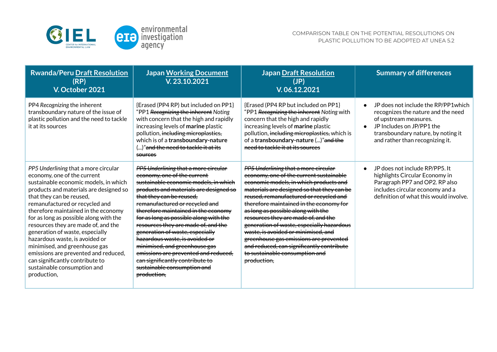

| <b>Rwanda/Peru Draft Resolution</b><br>(RP)<br>V. October 2021                                                                                                                                                                                                                                                                                                                                                                                                                                                                                                              | <b>Japan Working Document</b><br>V. 23.10.2021                                                                                                                                                                                                                                                                                                                                                                                                                                                                                                                                     | <b>Japan Draft Resolution</b><br>(JP)<br>V.06.12.2021                                                                                                                                                                                                                                                                                                                                                                                                                                                                                                                 | <b>Summary of differences</b>                                                                                                                                                                            |
|-----------------------------------------------------------------------------------------------------------------------------------------------------------------------------------------------------------------------------------------------------------------------------------------------------------------------------------------------------------------------------------------------------------------------------------------------------------------------------------------------------------------------------------------------------------------------------|------------------------------------------------------------------------------------------------------------------------------------------------------------------------------------------------------------------------------------------------------------------------------------------------------------------------------------------------------------------------------------------------------------------------------------------------------------------------------------------------------------------------------------------------------------------------------------|-----------------------------------------------------------------------------------------------------------------------------------------------------------------------------------------------------------------------------------------------------------------------------------------------------------------------------------------------------------------------------------------------------------------------------------------------------------------------------------------------------------------------------------------------------------------------|----------------------------------------------------------------------------------------------------------------------------------------------------------------------------------------------------------|
| PP4 Recognizing the inherent<br>transboundary nature of the issue of<br>plastic pollution and the need to tackle<br>it at its sources                                                                                                                                                                                                                                                                                                                                                                                                                                       | {Erased (PP4 RP) but included on PP1}<br>"PP1 Recognizing the inherent Noting<br>with concern that the high and rapidly<br>increasing levels of marine plastic<br>pollution, including microplastics,<br>which is of a transboundary-nature<br>()" <del>and the need to tackle it at its</del><br>sources                                                                                                                                                                                                                                                                          | {Erased (PP4 RP but included on PP1}<br>"PP1 Recognizing the inherent Noting with<br>concern that the high and rapidly<br>increasing levels of marine plastic<br>pollution, including microplastics, which is<br>of a transboundary-nature ()"and the<br>need to tackle it at its sources                                                                                                                                                                                                                                                                             | JP does not include the RP/PP1which<br>recognizes the nature and the need<br>of upstream measures.<br>JP Includes on JP/PP1 the<br>transboundary nature, by noting it<br>and rather than recognizing it. |
| PP5 Underlining that a more circular<br>economy, one of the current<br>sustainable economic models, in which<br>products and materials are designed so<br>that they can be reused,<br>remanufactured or recycled and<br>therefore maintained in the economy<br>for as long as possible along with the<br>resources they are made of, and the<br>generation of waste, especially<br>hazardous waste, is avoided or<br>minimised, and greenhouse gas<br>emissions are prevented and reduced,<br>can significantly contribute to<br>sustainable consumption and<br>production, | <b>PP5 Underlining that a more circular</b><br>economy, one of the current<br>sustainable economic models, in which<br>products and materials are designed so<br>that they can be reused.<br>remanufactured or recycled and<br>therefore maintained in the economy<br>for as long as possible along with the<br>resources they are made of, and the<br>generation of waste, especially<br>hazardous waste, is avoided or<br>minimised, and greenhouse gas<br>emissions are prevented and reduced,<br>can significantly contribute to<br>sustainable consumption and<br>production. | PP5 Underlining that a more circular<br>economy, one of the current sustainable<br>economic models, in which products and<br>materials are designed so that they can be<br>reused, remanufactured or recycled and<br>therefore maintained in the economy for<br>as long as possible along with the<br>resources they are made of, and the<br>generation of waste, especially hazardous<br>waste, is avoided or minimised, and<br>greenhouse gas emissions are prevented<br>and reduced, can significantly contribute<br>to sustainable consumption and<br>production, | JP does not include RP/PP5. It<br>highlights Circular Economy in<br>Paragraph PP7 and OP2. RP also<br>includes circular economy and a<br>definition of what this would involve.                          |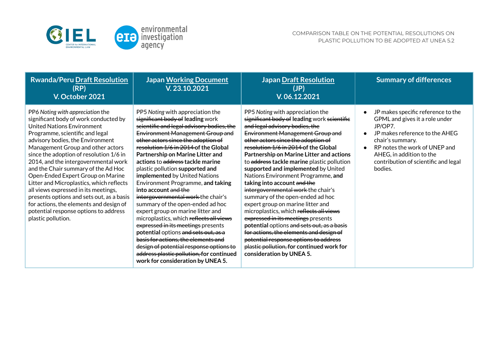

| <b>Rwanda/Peru Draft Resolution</b><br>(RP)<br>V. October 2021                                                                                                                                                                                                                                                                                                                                                                                                                                                                                                                                                                | <b>Japan Working Document</b><br>V.23.10.2021                                                                                                                                                                                                                                                                                                                                                                                                                                                                                                                                                                                                                                                                                                                                                                                                                  | <b>Japan Draft Resolution</b><br>(JP)<br>V. 06.12.2021                                                                                                                                                                                                                                                                                                                                                                                                                                                                                                                                                                                                                                                                                                                                                                                                      | <b>Summary of differences</b>                                                                                                                                                                                                                         |
|-------------------------------------------------------------------------------------------------------------------------------------------------------------------------------------------------------------------------------------------------------------------------------------------------------------------------------------------------------------------------------------------------------------------------------------------------------------------------------------------------------------------------------------------------------------------------------------------------------------------------------|----------------------------------------------------------------------------------------------------------------------------------------------------------------------------------------------------------------------------------------------------------------------------------------------------------------------------------------------------------------------------------------------------------------------------------------------------------------------------------------------------------------------------------------------------------------------------------------------------------------------------------------------------------------------------------------------------------------------------------------------------------------------------------------------------------------------------------------------------------------|-------------------------------------------------------------------------------------------------------------------------------------------------------------------------------------------------------------------------------------------------------------------------------------------------------------------------------------------------------------------------------------------------------------------------------------------------------------------------------------------------------------------------------------------------------------------------------------------------------------------------------------------------------------------------------------------------------------------------------------------------------------------------------------------------------------------------------------------------------------|-------------------------------------------------------------------------------------------------------------------------------------------------------------------------------------------------------------------------------------------------------|
| PP6 Noting with appreciation the<br>significant body of work conducted by<br>United Nations Environment<br>Programme, scientific and legal<br>advisory bodies, the Environment<br>Management Group and other actors<br>since the adoption of resolution 1/6 in<br>2014, and the intergovernmental work<br>and the Chair summary of the Ad Hoc<br>Open-Ended Expert Group on Marine<br>Litter and Microplastics, which reflects<br>all views expressed in its meetings,<br>presents options and sets out, as a basis<br>for actions, the elements and design of<br>potential response options to address<br>plastic pollution. | PP5 Noting with appreciation the<br>significant body of leading work<br>scientific and legal advisory bodies, the<br><b>Environment Management Group and</b><br>other actors since the adoption of<br>resolution 1/6 in 2014 of the Global<br>Partnership on Marine Litter and<br>actions to address tackle marine<br>plastic pollution supported and<br>implemented by United Nations<br>Environment Programme, and taking<br>into account and the<br>intergovernmental work the chair's<br>summary of the open-ended ad hoc<br>expert group on marine litter and<br>microplastics, which reflects all views<br>expressed in its meetings presents<br>potential options and sets out, as a<br>basis for actions, the elements and<br>design of potential response options to<br>address plastic pollution, for continued<br>work for consideration by UNEA 5. | PP5 Noting with appreciation the<br>significant body of leading work scientifie<br>and legal advisory bodies, the<br><b>Environment Management Group and</b><br>other actors since the adoption of<br>resolution 1/6 in 2014 of the Global<br>Partnership on Marine Litter and actions<br>to address tackle marine plastic pollution<br>supported and implemented by United<br>Nations Environment Programme, and<br>taking into account and the<br>intergovernmental work the chair's<br>summary of the open-ended ad hoc<br>expert group on marine litter and<br>microplastics, which reflects all views<br>expressed in its meetings presents<br>potential options and sets out, as a basis<br>for actions, the elements and design of<br>potential response options to address<br>plastic pollution, for continued work for<br>consideration by UNEA 5. | JP makes specific reference to the<br>GPML and gives it a role under<br>JP/OP7.<br>JP makes reference to the AHEG<br>chair's summary.<br>RP notes the work of UNEP and<br>AHEG, in addition to the<br>contribution of scientific and legal<br>bodies. |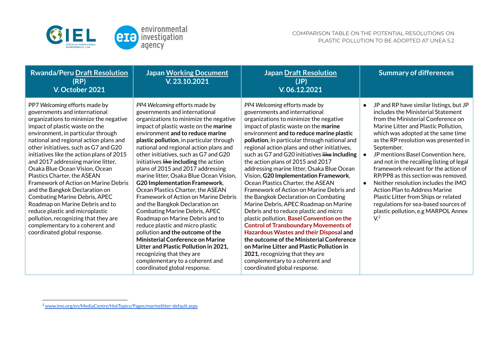

| <b>Rwanda/Peru Draft Resolution</b><br>(RP)<br>V. October 2021                                                                                                                                                                                                                                                                                                                                                                                                                                                                                                                                                                                                                                                             | <b>Japan Working Document</b><br>V. 23.10.2021                                                                                                                                                                                                                                                                                                                                                                                                                                                                                                                                                                                                                                                                                                                                                                                                                                                                                                     | <b>Japan Draft Resolution</b><br>(JP)<br>V.06.12.2021                                                                                                                                                                                                                                                                                                                                                                                                                                                                                                                                                                                                                                                                                                                                                                                                                                                                                                                                                                                   |           | <b>Summary of differences</b>                                                                                                                                                                                                                                                                                                                                                                                                                                                                                                                                                                                                      |
|----------------------------------------------------------------------------------------------------------------------------------------------------------------------------------------------------------------------------------------------------------------------------------------------------------------------------------------------------------------------------------------------------------------------------------------------------------------------------------------------------------------------------------------------------------------------------------------------------------------------------------------------------------------------------------------------------------------------------|----------------------------------------------------------------------------------------------------------------------------------------------------------------------------------------------------------------------------------------------------------------------------------------------------------------------------------------------------------------------------------------------------------------------------------------------------------------------------------------------------------------------------------------------------------------------------------------------------------------------------------------------------------------------------------------------------------------------------------------------------------------------------------------------------------------------------------------------------------------------------------------------------------------------------------------------------|-----------------------------------------------------------------------------------------------------------------------------------------------------------------------------------------------------------------------------------------------------------------------------------------------------------------------------------------------------------------------------------------------------------------------------------------------------------------------------------------------------------------------------------------------------------------------------------------------------------------------------------------------------------------------------------------------------------------------------------------------------------------------------------------------------------------------------------------------------------------------------------------------------------------------------------------------------------------------------------------------------------------------------------------|-----------|------------------------------------------------------------------------------------------------------------------------------------------------------------------------------------------------------------------------------------------------------------------------------------------------------------------------------------------------------------------------------------------------------------------------------------------------------------------------------------------------------------------------------------------------------------------------------------------------------------------------------------|
| PP7 Welcoming efforts made by<br>governments and international<br>organizations to minimize the negative<br>impact of plastic waste on the<br>environment, in particular through<br>national and regional action plans and<br>other initiatives, such as G7 and G20<br>initiatives like the action plans of 2015<br>and 2017 addressing marine litter,<br>Osaka Blue Ocean Vision, Ocean<br>Plastics Charter, the ASEAN<br>Framework of Action on Marine Debris<br>and the Bangkok Declaration on<br><b>Combating Marine Debris, APEC</b><br>Roadmap on Marine Debris and to<br>reduce plastic and microplastic<br>pollution, recognizing that they are<br>complementary to a coherent and<br>coordinated global response. | PP4 Welcoming efforts made by<br>governments and international<br>organizations to minimize the negative<br>impact of plastic waste on the marine<br>environment and to reduce marine<br>plastic pollution, in particular through<br>national and regional action plans and<br>other initiatives, such as G7 and G20<br>initiatives like including the action<br>plans of 2015 and 2017 addressing<br>marine litter, Osaka Blue Ocean Vision,<br><b>G20 Implementation Framework,</b><br>Ocean Plastics Charter, the ASEAN<br><b>Framework of Action on Marine Debris</b><br>and the Bangkok Declaration on<br><b>Combating Marine Debris, APEC</b><br>Roadmap on Marine Debris and to<br>reduce plastic and micro plastic<br>pollution and the outcome of the<br><b>Ministerial Conference on Marine</b><br>Litter and Plastic Pollution in 2021,<br>recognizing that they are<br>complementary to a coherent and<br>coordinated global response. | PP4 Welcoming efforts made by<br>governments and international<br>organizations to minimize the negative<br>impact of plastic waste on the marine<br>environment and to reduce marine plastic<br>pollution, in particular through national and<br>regional action plans and other initiatives,<br>such as G7 and G20 initiatives like including<br>the action plans of 2015 and 2017<br>addressing marine litter, Osaka Blue Ocean<br>Vision, G20 Implementation Framework,<br>Ocean Plastics Charter, the ASEAN<br>Framework of Action on Marine Debris and<br>the Bangkok Declaration on Combating<br>Marine Debris, APEC Roadmap on Marine<br>Debris and to reduce plastic and micro<br>plastic pollution, Basel Convention on the<br><b>Control of Transboundary Movements of</b><br><b>Hazardous Wastes and their Disposal and</b><br>the outcome of the Ministerial Conference<br>on Marine Litter and Plastic Pollution in<br>2021, recognizing that they are<br>complementary to a coherent and<br>coordinated global response. | $\bullet$ | JP and RP have similar listings, but JP<br>includes the Ministerial Statement<br>from the Ministerial Conference on<br>Marine Litter and Plastic Pollution,<br>which was adopted at the same time<br>as the RP resolution was presented in<br>September.<br>JP mentions Basel Convention here.<br>and not in the recalling listing of legal<br>framework relevant for the action of<br>RP/PP8 as this section was removed.<br>Neither resolution includes the IMO<br>Action Plan to Address Marine<br>Plastic Litter from Ships or related<br>regulations for sea-based sources of<br>plastic pollution, e.g MARPOL Annex<br>$V^2$ |

<sup>2</sup> [www.imo.org/en/MediaCentre/HotTopics/Pages/marinelitter-default.aspx](https://www.imo.org/en/MediaCentre/HotTopics/Pages/marinelitter-default.aspx)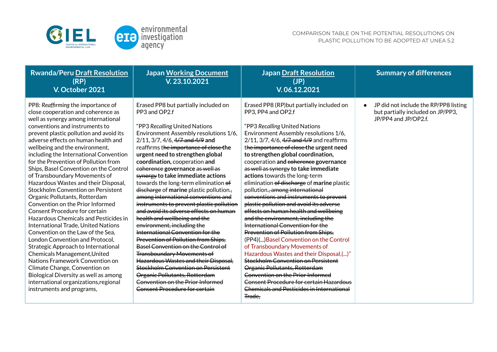

| Erased PP8 but partially included on<br>JP did not include the RP/PP8 listing<br>PP8: Reaffirming the importance of<br>Erased PP8 (RP) but partially included on<br>close cooperation and coherence as<br>PP3 and OP2.f<br>PP3, PP4 and OP2.f<br>but partially included on JP/PP3,<br>JP/PP4 and JP/OP2.f.<br>well as synergy among international<br>conventions and instruments to<br>"PP3 Recalling United Nations<br>"PP3 Recalling United Nations<br>Environment Assembly resolutions 1/6,<br>Environment Assembly resolutions 1/6,<br>prevent plastic pollution and avoid its<br>adverse effects on human health and<br>2/11, 3/7, 4/6, 4/7 and 4/9 and reaffirms<br>$2/11$ , $3/7$ , $4/6$ , $4/7$ and $4/9$ and<br>wellbeing and the environment,<br>reaffirms the importance of close the<br>the importance of close the urgent need<br>including the International Convention<br>urgent need to strengthen global<br>to strengthen global coordination,<br>for the Prevention of Pollution from<br>coordination, cooperation and<br>cooperation and coherence governance<br>Ships, Basel Convention on the Control<br>as well as synergy to take immediate<br>coherence governance as well as<br>of Transboundary Movements of<br>synergy to take immediate actions<br>actions towards the long-term<br>Hazardous Wastes and their Disposal,<br>towards the long-term elimination of<br>elimination of discharge of marine plastic<br>Stockholm Convention on Persistent<br>pollution. <del>, among international</del><br>discharge of marine plastic pollution.,<br>among international conventions and<br>conventions and instruments to prevent<br>Organic Pollutants, Rotterdam<br>plastic pollution and avoid its adverse<br>Convention on the Prior Informed<br>instruments to prevent plastic pollution<br>and avoid its adverse effects on human<br>effects on human health and wellbeing<br><b>Consent Procedure for certain</b><br>health and wellbeing and the<br>and the environment, including the<br><b>Hazardous Chemicals and Pesticides in</b><br>International Convention for the<br><b>International Trade, United Nations</b><br>environment, including the<br>International Convention for the<br>Prevention of Pollution from Ships,<br>Convention on the Law of the Sea,<br>Prevention of Pollution from Ships,<br>London Convention and Protocol,<br>(PP4)() Basel Convention on the Control<br><b>Basel Convention on the Control of</b><br>of Transboundary Movements of<br><b>Strategic Approach to International</b><br><b>Transboundary Movements of</b><br>Hazardous Wastes and their Disposal,()"<br>Chemicals Management, United<br>Hazardous Wastes and their Disposal,<br>Stockholm Convention on Persistent<br>Nations Framework Convention on<br><b>Stockholm Convention on Persistent</b><br>Organic Pollutants, Rotterdam<br>Climate Change, Convention on<br><b>Convention on the Prior Informed</b><br>Organic Pollutants, Rotterdam<br>Biological Diversity as well as among<br>Consent Procedure for certain Hazardous<br>Convention on the Prior Informed<br>international organizations, regional<br><b>Chemicals and Pesticides in International</b><br>Consent Procedure for certain<br>instruments and programs,<br>Trade. |  |
|-------------------------------------------------------------------------------------------------------------------------------------------------------------------------------------------------------------------------------------------------------------------------------------------------------------------------------------------------------------------------------------------------------------------------------------------------------------------------------------------------------------------------------------------------------------------------------------------------------------------------------------------------------------------------------------------------------------------------------------------------------------------------------------------------------------------------------------------------------------------------------------------------------------------------------------------------------------------------------------------------------------------------------------------------------------------------------------------------------------------------------------------------------------------------------------------------------------------------------------------------------------------------------------------------------------------------------------------------------------------------------------------------------------------------------------------------------------------------------------------------------------------------------------------------------------------------------------------------------------------------------------------------------------------------------------------------------------------------------------------------------------------------------------------------------------------------------------------------------------------------------------------------------------------------------------------------------------------------------------------------------------------------------------------------------------------------------------------------------------------------------------------------------------------------------------------------------------------------------------------------------------------------------------------------------------------------------------------------------------------------------------------------------------------------------------------------------------------------------------------------------------------------------------------------------------------------------------------------------------------------------------------------------------------------------------------------------------------------------------------------------------------------------------------------------------------------------------------------------------------------------------------------------------------------------------------------------------------------------------------------------------------------------------------------------------------------------------------------------------------------------------------------------------------------------------------------------------------------------------------------------------------------------------|--|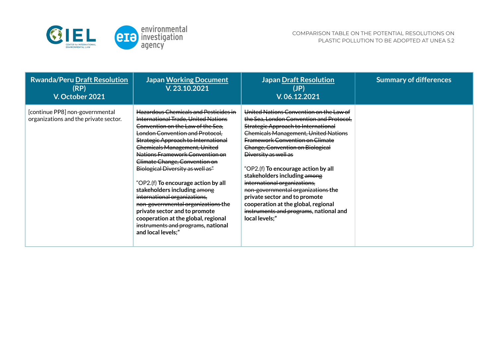

| <b>Rwanda/Peru Draft Resolution</b><br>(RP)<br>V. October 2021           | <b>Japan Working Document</b><br>V.23.10.2021                                                                                                                                                                                                                                                                                                                                                                                                                                                                                                                                                                                      | <b>Japan Draft Resolution</b><br>(JP)<br>V.06.12.2021                                                                                                                                                                                                                                                                                                                                                                                                                                                                                                            | <b>Summary of differences</b> |
|--------------------------------------------------------------------------|------------------------------------------------------------------------------------------------------------------------------------------------------------------------------------------------------------------------------------------------------------------------------------------------------------------------------------------------------------------------------------------------------------------------------------------------------------------------------------------------------------------------------------------------------------------------------------------------------------------------------------|------------------------------------------------------------------------------------------------------------------------------------------------------------------------------------------------------------------------------------------------------------------------------------------------------------------------------------------------------------------------------------------------------------------------------------------------------------------------------------------------------------------------------------------------------------------|-------------------------------|
| [continue PP8] non-governmental<br>organizations and the private sector. | <b>Hazardous Chemicals and Pesticides in</b><br>International Trade, United Nations<br>Convention on the Law of the Sea,<br>London Convention and Protocol,<br>Strategic Approach to International<br><b>Chemicals Management, United</b><br>Nations Framework Convention on<br>Climate Change, Convention on<br>Biological Diversity as well as"<br>"OP2.(f) To encourage action by all<br>stakeholders including among<br>international organizations,<br>non governmental organizations the<br>private sector and to promote<br>cooperation at the global, regional<br>instruments and programs, national<br>and local levels;" | United Nations Convention on the Law of<br>the Sea, London Convention and Protocol,<br>Strategic Approach to International<br><b>Chemicals Management, United Nations</b><br><b>Framework Convention on Climate</b><br>Change, Convention on Biological<br>Diversity as well as<br>"OP2.(f) To encourage action by all<br>stakeholders including among<br>international organizations,<br>non governmental organizations the<br>private sector and to promote<br>cooperation at the global, regional<br>instruments and programs, national and<br>local levels;" |                               |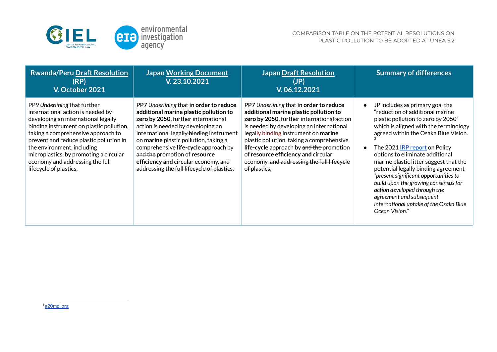

| <b>Rwanda/Peru Draft Resolution</b><br>(RP)<br>V. October 2021                                                                                                                                                                                                                                                                                                             | <b>Japan Working Document</b><br>V. 23.10.2021                                                                                                                                                                                                                                                                                                                                                                    | <b>Japan Draft Resolution</b><br>(JP)<br>V.06.12.2021                                                                                                                                                                                                                                                                                                                                                             | <b>Summary of differences</b>                                                                                                                                                                                                                                                                                                                                                                                                                                                                                                                                  |
|----------------------------------------------------------------------------------------------------------------------------------------------------------------------------------------------------------------------------------------------------------------------------------------------------------------------------------------------------------------------------|-------------------------------------------------------------------------------------------------------------------------------------------------------------------------------------------------------------------------------------------------------------------------------------------------------------------------------------------------------------------------------------------------------------------|-------------------------------------------------------------------------------------------------------------------------------------------------------------------------------------------------------------------------------------------------------------------------------------------------------------------------------------------------------------------------------------------------------------------|----------------------------------------------------------------------------------------------------------------------------------------------------------------------------------------------------------------------------------------------------------------------------------------------------------------------------------------------------------------------------------------------------------------------------------------------------------------------------------------------------------------------------------------------------------------|
| PP9 Underlining that further<br>international action is needed by<br>developing an international legally<br>binding instrument on plastic pollution,<br>taking a comprehensive approach to<br>prevent and reduce plastic pollution in<br>the environment, including<br>microplastics, by promoting a circular<br>economy and addressing the full<br>lifecycle of plastics, | PP7 Underlining that in order to reduce<br>additional marine plastic pollution to<br>zero by 2050, further international<br>action is needed by developing an<br>international legally binding instrument<br>on marine plastic pollution, taking a<br>comprehensive life-cycle approach by<br>and the promotion of resource<br>efficiency and circular economy, and<br>addressing the full lifecycle of plastics, | PP7 Underlining that in order to reduce<br>additional marine plastic pollution to<br>zero by 2050, further international action<br>is needed by developing an international<br>legally binding instrument on marine<br>plastic pollution, taking a comprehensive<br>life-cycle approach by and the promotion<br>of resource efficiency and circular<br>economy, and addressing the full lifecycle<br>of plastics, | JP includes as primary goal the<br>"reduction of additional marine<br>plastic pollution to zero by 2050"<br>which is aligned with the terminology<br>agreed within the Osaka Blue Vision.<br>The 2021 <u>IRP report</u> on Policy<br>options to eliminate additional<br>marine plastic litter suggest that the<br>potential legally binding agreement<br>present significant opportunities to"<br>build upon the growing consensus for<br>action developed through the<br>agreement and subsequent<br>international uptake of the Osaka Blue<br>Ocean Vision." |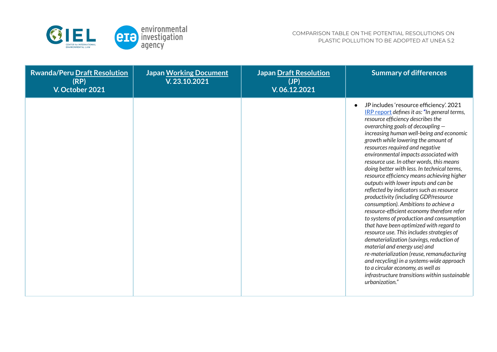

| <b>Rwanda/Peru Draft Resolution</b><br>(RP)<br>V. October 2021 | <b>Japan Working Document</b><br>V. 23.10.2021 | <b>Japan Draft Resolution</b><br>(JP)<br>V. 06.12.2021 | <b>Summary of differences</b>                                                                                                                                                                                                                                                                                                                                                                                                                                                                                                                                                                                                                                                                                                                                                                                                                                                                                                                                                                                                                                                                                    |
|----------------------------------------------------------------|------------------------------------------------|--------------------------------------------------------|------------------------------------------------------------------------------------------------------------------------------------------------------------------------------------------------------------------------------------------------------------------------------------------------------------------------------------------------------------------------------------------------------------------------------------------------------------------------------------------------------------------------------------------------------------------------------------------------------------------------------------------------------------------------------------------------------------------------------------------------------------------------------------------------------------------------------------------------------------------------------------------------------------------------------------------------------------------------------------------------------------------------------------------------------------------------------------------------------------------|
|                                                                |                                                |                                                        | JP includes 'resource efficiency'. 2021<br>IRP report defines it as: "In general terms,<br>resource efficiency describes the<br>overarching goals of decoupling $-$<br>increasing human well-being and economic<br>growth while lowering the amount of<br>resources required and negative<br>environmental impacts associated with<br>resource use. In other words, this means<br>doing better with less. In technical terms,<br>resource efficiency means achieving higher<br>outputs with lower inputs and can be<br>reflected by indicators such as resource<br>productivity (including GDP/resource<br>consumption). Ambitions to achieve a<br>resource-efficient economy therefore refer<br>to systems of production and consumption<br>that have been optimized with regard to<br>resource use. This includes strategies of<br>dematerialization (savings, reduction of<br>material and energy use) and<br>re-materialization (reuse, remanufacturing<br>and recycling) in a systems-wide approach<br>to a circular economy, as well as<br>infrastructure transitions within sustainable<br>urbanization." |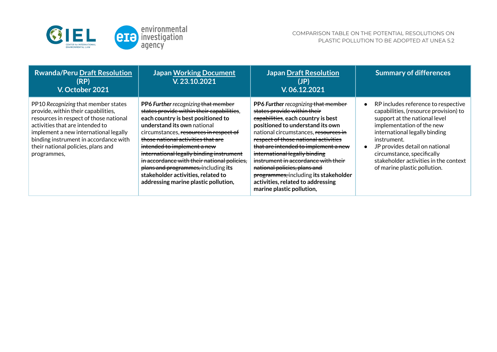

| Rwanda/Peru Draft Resolution<br>(RP)<br>V. October 2021                                                                                                                                                                                                                                        | <b>Japan Working Document</b><br>V.23.10.2021                                                                                                                                                                                                                                                                                                                                                                                                                                        | <b>Japan Draft Resolution</b><br>(JP)<br>V.06.12.2021                                                                                                                                                                                                                                                                                                                                                                                                                                   | <b>Summary of differences</b>                                                                                                                                                                                                                                                                                                       |
|------------------------------------------------------------------------------------------------------------------------------------------------------------------------------------------------------------------------------------------------------------------------------------------------|--------------------------------------------------------------------------------------------------------------------------------------------------------------------------------------------------------------------------------------------------------------------------------------------------------------------------------------------------------------------------------------------------------------------------------------------------------------------------------------|-----------------------------------------------------------------------------------------------------------------------------------------------------------------------------------------------------------------------------------------------------------------------------------------------------------------------------------------------------------------------------------------------------------------------------------------------------------------------------------------|-------------------------------------------------------------------------------------------------------------------------------------------------------------------------------------------------------------------------------------------------------------------------------------------------------------------------------------|
| PP10 Recognizing that member states<br>provide, within their capabilities,<br>resources in respect of those national<br>activities that are intended to<br>implement a new international legally<br>binding instrument in accordance with<br>their national policies, plans and<br>programmes, | PP6 Further recognizing that member<br>states provide within their capabilities,<br>each country is best positioned to<br>understand its own national<br>circumstances, resources in respect of<br>those national activities that are<br>intended to implement a new<br>international legally binding instrument<br>in accordance with their national policies,<br>plans and programmes, including its<br>stakeholder activities, related to<br>addressing marine plastic pollution, | PP6 Further recognizing that member<br>states provide within their<br>capabilities, each country is best<br>positioned to understand its own<br>national circumstances, resources in<br>respect of those national activities<br>that are intended to implement a new<br>international legally binding<br>instrument in accordance with their<br>national policies, plans and<br>programmes, including its stakeholder<br>activities, related to addressing<br>marine plastic pollution, | RP includes reference to respective<br>capabilities, (resource provision) to<br>support at the national level<br>implementation of the new<br>international legally binding<br>instrument.<br>JP provides detail on national<br>circumstance, specifically<br>stakeholder activities in the context<br>of marine plastic pollution. |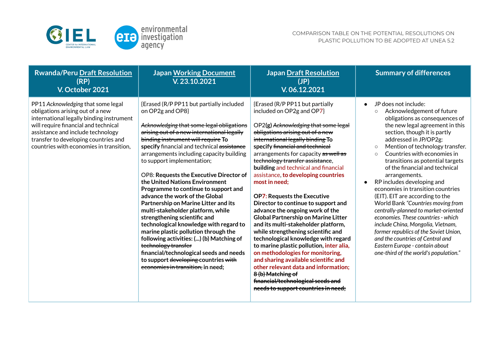

| <b>Rwanda/Peru Draft Resolution</b><br>(RP)<br>V. October 2021                                                                                                                                                                                                                     | <b>Japan Working Document</b><br>V.23.10.2021                                                                                                                                                                                                                                                                                                                                                                                                                                                                                                                                                                                                                                                                                                                                                                                                                          | <b>Japan Draft Resolution</b><br>(JP)<br>V.06.12.2021                                                                                                                                                                                                                                                                                                                                                                                                                                                                                                                                                                                                                                                                                                                                                                                                                                                                                         | <b>Summary of differences</b>                                                                                                                                                                                                                                                                                                                                                                                                                                                                                                                                                                                                                                                                                                                                                                                              |
|------------------------------------------------------------------------------------------------------------------------------------------------------------------------------------------------------------------------------------------------------------------------------------|------------------------------------------------------------------------------------------------------------------------------------------------------------------------------------------------------------------------------------------------------------------------------------------------------------------------------------------------------------------------------------------------------------------------------------------------------------------------------------------------------------------------------------------------------------------------------------------------------------------------------------------------------------------------------------------------------------------------------------------------------------------------------------------------------------------------------------------------------------------------|-----------------------------------------------------------------------------------------------------------------------------------------------------------------------------------------------------------------------------------------------------------------------------------------------------------------------------------------------------------------------------------------------------------------------------------------------------------------------------------------------------------------------------------------------------------------------------------------------------------------------------------------------------------------------------------------------------------------------------------------------------------------------------------------------------------------------------------------------------------------------------------------------------------------------------------------------|----------------------------------------------------------------------------------------------------------------------------------------------------------------------------------------------------------------------------------------------------------------------------------------------------------------------------------------------------------------------------------------------------------------------------------------------------------------------------------------------------------------------------------------------------------------------------------------------------------------------------------------------------------------------------------------------------------------------------------------------------------------------------------------------------------------------------|
| PP11 Acknowledging that some legal<br>obligations arising out of a new<br>international legally binding instrument<br>will require financial and technical<br>assistance and include technology<br>transfer to developing countries and<br>countries with economies in transition, | {Erased (R/P PP11 but partially included<br>on OP2g and OP8}<br>Acknowledging that some legal obligations<br>arising out of a new international legally<br>binding instrument will require To<br>specify financial and technical assistance<br>arrangements including capacity building<br>to support implementation;<br>OP8: Requests the Executive Director of<br>the United Nations Environment<br>Programme to continue to support and<br>advance the work of the Global<br>Partnership on Marine Litter and its<br>multi-stakeholder platform, while<br>strengthening scientific and<br>technological knowledge with regard to<br>marine plastic pollution through the<br>following activities: () (b) Matching of<br>technology transfer<br>financial/technological seeds and needs<br>to support developing countries with<br>economies in transition, in need; | {Erased (R/P PP11 but partially<br>included on OP2g and OP7}<br>OP2(g) Acknowledging that some legal<br>obligations arising out of a new<br>international legally binding To<br>specify financial and technical<br>arrangements for capacity as well as<br>technology transfer assistance,<br>building and technical and financial<br>assistance, to developing countries<br>most in need;<br><b>OP7: Requests the Executive</b><br>Director to continue to support and<br>advance the ongoing work of the<br><b>Global Partnership on Marine Litter</b><br>and its multi-stakeholder platform,<br>while strengthening scientific and<br>technological knowledge with regard<br>to marine plastic pollution, inter alia,<br>on methodologies for monitoring,<br>and sharing available scientific and<br>other relevant data and information;<br>8 (b) Matching of<br>financial/technological seeds and<br>needs to support countries in need; | JP does not include:<br>$\bullet$<br>Acknowledgement of future<br>$\circ$<br>obligations as consequences of<br>the new legal agreement in this<br>section, though it is partly<br>addressed in JP/OP2g:<br>Mention of technology transfer.<br>$\circ$<br>Countries with economies in<br>$\Omega$<br>transitions as potential targets<br>of the financial and technical<br>arrangements.<br>RP includes developing and<br>$\bullet$<br>economies in transition countries<br>(EIT). EIT are according to the<br>World Bank "Countries moving from<br>centrally-planned to market-oriented<br>economies. These countries - which<br>include China, Mongolia, Vietnam,<br>former republics of the Soviet Union,<br>and the countries of Central and<br>Eastern Europe - contain about<br>one-third of the world's population." |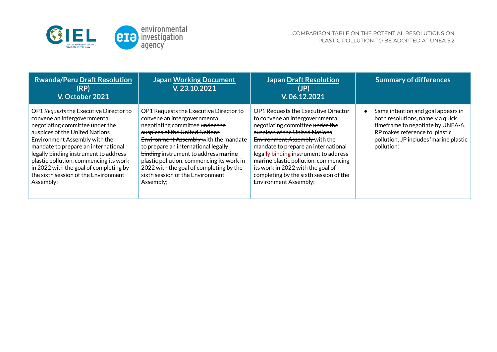

| <b>Rwanda/Peru Draft Resolution</b><br>(RP)<br>V. October 2021                                                                                                                                                                                                                                                                                                                                        | <b>Japan Working Document</b><br>V.23.10.2021                                                                                                                                                                                                                                                                                                                                                                | <b>Japan Draft Resolution</b><br>(JP)<br>V.06.12.2021                                                                                                                                                                                                                                                                                                                                                               | <b>Summary of differences</b>                                                                                                                                                                          |
|-------------------------------------------------------------------------------------------------------------------------------------------------------------------------------------------------------------------------------------------------------------------------------------------------------------------------------------------------------------------------------------------------------|--------------------------------------------------------------------------------------------------------------------------------------------------------------------------------------------------------------------------------------------------------------------------------------------------------------------------------------------------------------------------------------------------------------|---------------------------------------------------------------------------------------------------------------------------------------------------------------------------------------------------------------------------------------------------------------------------------------------------------------------------------------------------------------------------------------------------------------------|--------------------------------------------------------------------------------------------------------------------------------------------------------------------------------------------------------|
| OP1 Requests the Executive Director to<br>convene an intergovernmental<br>negotiating committee under the<br>auspices of the United Nations<br>Environment Assembly with the<br>mandate to prepare an international<br>legally binding instrument to address<br>plastic pollution, commencing its work<br>in 2022 with the goal of completing by<br>the sixth session of the Environment<br>Assembly; | OP1 Requests the Executive Director to<br>convene an intergovernmental<br>negotiating committee under the<br>auspices of the United Nations<br>Environment Assembly with the mandate<br>to prepare an international legally<br>binding instrument to address marine<br>plastic pollution, commencing its work in<br>2022 with the goal of completing by the<br>sixth session of the Environment<br>Assembly; | OP1 Requests the Executive Director<br>to convene an intergovernmental<br>negotiating committee under the<br>auspices of the United Nations<br>Environment Assembly with the<br>mandate to prepare an international<br>legally binding instrument to address<br>marine plastic pollution, commencing<br>its work in 2022 with the goal of<br>completing by the sixth session of the<br><b>Environment Assembly:</b> | Same intention and goal appears in<br>both resolutions, namely a quick<br>timeframe to negotiate by UNEA-6.<br>RP makes reference to 'plastic<br>pollution', JP includes 'marine plastic<br>pollution. |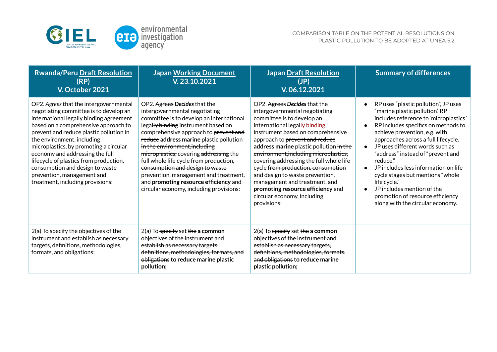

| <b>Rwanda/Peru Draft Resolution</b><br>(RP)<br>V. October 2021                                                                                                                                                                                                                                                                                                                                                                                                           | <b>Japan Working Document</b><br>V.23.10.2021                                                                                                                                                                                                                                                                                                                                                                                                                                                                             | <b>Japan Draft Resolution</b><br>(JP)<br>V.06.12.2021                                                                                                                                                                                                                                                                                                                                                                                                                                                                           | <b>Summary of differences</b>                                                                                                                                                                                                                                                                                                                                                                                                                                                                                         |
|--------------------------------------------------------------------------------------------------------------------------------------------------------------------------------------------------------------------------------------------------------------------------------------------------------------------------------------------------------------------------------------------------------------------------------------------------------------------------|---------------------------------------------------------------------------------------------------------------------------------------------------------------------------------------------------------------------------------------------------------------------------------------------------------------------------------------------------------------------------------------------------------------------------------------------------------------------------------------------------------------------------|---------------------------------------------------------------------------------------------------------------------------------------------------------------------------------------------------------------------------------------------------------------------------------------------------------------------------------------------------------------------------------------------------------------------------------------------------------------------------------------------------------------------------------|-----------------------------------------------------------------------------------------------------------------------------------------------------------------------------------------------------------------------------------------------------------------------------------------------------------------------------------------------------------------------------------------------------------------------------------------------------------------------------------------------------------------------|
| OP2. Agrees that the intergovernmental<br>negotiating committee is to develop an<br>international legally binding agreement<br>based on a comprehensive approach to<br>prevent and reduce plastic pollution in<br>the environment, including<br>microplastics, by promoting a circular<br>economy and addressing the full<br>lifecycle of plastics from production,<br>consumption and design to waste<br>prevention, management and<br>treatment, including provisions: | OP2. Agrees Decides that the<br>intergovernmental negotiating<br>committee is to develop an international<br>legally binding instrument based on<br>comprehensive approach to prevent and<br>reduce address marine plastic pollution<br>in the environment, including<br>microplastics, covering addressing the<br>full whole life cycle from production,<br>consumption and design to waste<br>prevention, management and treatment,<br>and promoting resource efficiency and<br>circular economy, including provisions: | OP2. Agrees Decides that the<br>intergovernmental negotiating<br>committee is to develop an<br>international legally binding<br>instrument based on comprehensive<br>approach to prevent and reduce<br>address marine plastic pollution in the<br>environment, including microplastics,<br>covering addressing the full whole life<br>cycle from production, consumption<br>and design to waste prevention,<br>management and treatment, and<br>promoting resource efficiency and<br>circular economy, including<br>provisions: | RP uses "plastic pollution", JP uses<br>"marine plastic pollution'. RP<br>includes reference to 'microplastics.'<br>RP includes specifics on methods to<br>achieve prevention, e.g. with<br>approaches across a full lifecycle.<br>JP uses different words such as<br>"address" instead of "prevent and<br>reduce."<br>JP includes less information on life<br>cycle stages but mentions "whole<br>life cycle."<br>JP includes mention of the<br>promotion of resource efficiency<br>along with the circular economy. |
| 2(a) To specify the objectives of the<br>instrument and establish as necessary<br>targets, definitions, methodologies,<br>formats, and obligations;                                                                                                                                                                                                                                                                                                                      | $2(a)$ To specify set the a common<br>objectives of the instrument and<br>establish as necessary targets,<br>definitions, methodologies, formats, and<br>obligations to reduce marine plastic<br>pollution;                                                                                                                                                                                                                                                                                                               | $2(a)$ To specify set the a common<br>objectives of the instrument and<br>establish as necessary targets.<br>definitions, methodologies, formats,<br>and obligations to reduce marine<br>plastic pollution;                                                                                                                                                                                                                                                                                                                     |                                                                                                                                                                                                                                                                                                                                                                                                                                                                                                                       |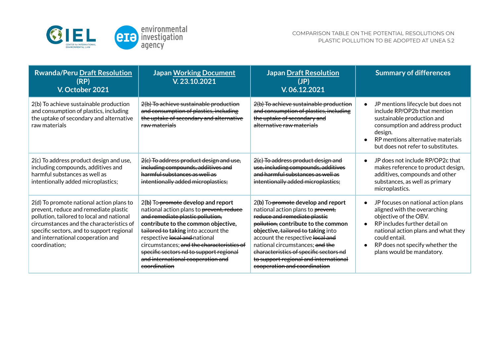

| <b>Rwanda/Peru Draft Resolution</b><br>(RP)<br>V. October 2021                                                                                                                                                                                                                | <b>Japan Working Document</b><br>V.23.10.2021                                                                                                                                                                                                                                                                                                                                  | <b>Japan Draft Resolution</b><br>(JP)<br>V.06.12.2021                                                                                                                                                                                                                                                                                                                          | <b>Summary of differences</b>                                                                                                                                                                                                                         |
|-------------------------------------------------------------------------------------------------------------------------------------------------------------------------------------------------------------------------------------------------------------------------------|--------------------------------------------------------------------------------------------------------------------------------------------------------------------------------------------------------------------------------------------------------------------------------------------------------------------------------------------------------------------------------|--------------------------------------------------------------------------------------------------------------------------------------------------------------------------------------------------------------------------------------------------------------------------------------------------------------------------------------------------------------------------------|-------------------------------------------------------------------------------------------------------------------------------------------------------------------------------------------------------------------------------------------------------|
| 2(b) To achieve sustainable production<br>and consumption of plastics, including<br>the uptake of secondary and alternative<br>raw materials                                                                                                                                  | 2(b) To achieve sustainable production<br>and consumption of plastics, including<br>the uptake of secondary and alternative<br>raw materials                                                                                                                                                                                                                                   | 2(b) To achieve sustainable production<br>and consumption of plastics, including<br>the uptake of secondary and<br>alternative raw materials                                                                                                                                                                                                                                   | JP mentions lifecycle but does not<br>include RP/OP2b that mention<br>sustainable production and<br>consumption and address product<br>design.<br>RP mentions alternative materials<br>but does not refer to substitutes.                             |
| 2(c) To address product design and use,<br>including compounds, additives and<br>harmful substances as well as<br>intentionally added microplastics;                                                                                                                          | 2(c) To address product design and use,<br>including compounds, additives and<br>harmful substances as well as<br>intentionally added microplastics;                                                                                                                                                                                                                           | 2(c) To address product design and<br>use, including compounds, additives<br>and harmful substances as well as<br>intentionally added microplastics;                                                                                                                                                                                                                           | JP does not include RP/OP2c that<br>makes reference to product design,<br>additives, compounds and other<br>substances, as well as primary<br>microplastics.                                                                                          |
| 2(d) To promote national action plans to<br>prevent, reduce and remediate plastic<br>pollution, tailored to local and national<br>circumstances and the characteristics of<br>specific sectors, and to support regional<br>and international cooperation and<br>coordination; | 2(b) To-promote develop and report<br>national action plans to prevent, reduce<br>and remediate plastic pollution,<br>contribute to the common objective,<br>tailored to taking into account the<br>respective local and national<br>circumstances; and the characteristics of<br>specific sectors nd to support regional<br>and international cooperation and<br>coordination | 2(b) To-promote develop and report<br>national action plans to prevent,<br>reduce and remediate plastic<br>pollution, contribute to the common<br>objective, tailored to taking into<br>account the respective local and<br>national circumstances; and the<br>characteristics of specific sectors nd<br>to support regional and international<br>cooperation and coordination | JP focuses on national action plans<br>aligned with the overarching<br>objective of the OBV.<br>RP includes further detail on<br>national action plans and what they<br>could entail.<br>RP does not specify whether the<br>plans would be mandatory. |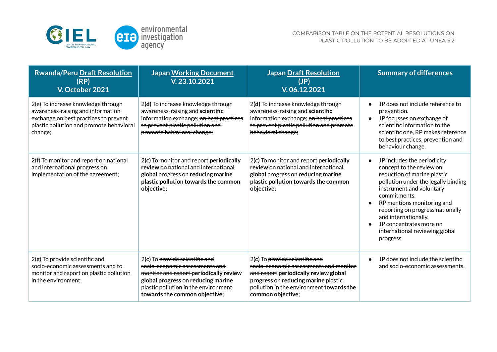

| <b>Rwanda/Peru Draft Resolution</b><br>(RP)<br>V. October 2021                                                                                                          | <b>Japan Working Document</b><br>V. 23.10.2021                                                                                                                                                                            | <b>Japan Draft Resolution</b><br>(JP)<br>V.06.12.2021                                                                                                                                                                     | <b>Summary of differences</b>                                                                                                                                                                                                                                                                                                                 |
|-------------------------------------------------------------------------------------------------------------------------------------------------------------------------|---------------------------------------------------------------------------------------------------------------------------------------------------------------------------------------------------------------------------|---------------------------------------------------------------------------------------------------------------------------------------------------------------------------------------------------------------------------|-----------------------------------------------------------------------------------------------------------------------------------------------------------------------------------------------------------------------------------------------------------------------------------------------------------------------------------------------|
| 2(e) To increase knowledge through<br>awareness-raising and information<br>exchange on best practices to prevent<br>plastic pollution and promote behavioral<br>change; | 2(d) To increase knowledge through<br>awareness-raising and scientific<br>information exchange; on best practices<br>to prevent plastic pollution and<br>promote behavioral change;                                       | 2(d) To increase knowledge through<br>awareness-raising and scientific<br>information exchange; on best practices<br>to prevent plastic pollution and promote<br>behavioral change;                                       | JP does not include reference to<br>prevention.<br>JP focusses on exchange of<br>$\bullet$<br>scientific information to the<br>scientific one, RP makes reference<br>to best practices, prevention and<br>behaviour change.                                                                                                                   |
| 2(f) To monitor and report on national<br>and international progress on<br>implementation of the agreement;                                                             | 2(c) To monitor and report periodically<br>review on national and international<br>global progress on reducing marine<br>plastic pollution towards the common<br>objective;                                               | 2(c) To monitor and report periodically<br>review on national and international<br>global progress on reducing marine<br>plastic pollution towards the common<br>objective;                                               | JP includes the periodicity<br>concept to the review on<br>reduction of marine plastic<br>pollution under the legally binding<br>instrument and voluntary<br>commitments.<br>RP mentions monitoring and<br>reporting on progress nationally<br>and internationally.<br>JP concentrates more on<br>international reviewing global<br>progress. |
| $2(g)$ To provide scientific and<br>socio-economic assessments and to<br>monitor and report on plastic pollution<br>in the environment;                                 | 2(c) To provide scientific and<br>socio economic assessments and<br>monitor and report-periodically review<br>global progress on reducing marine<br>plastic pollution in the environment<br>towards the common objective; | 2(c) To provide scientific and<br>socio-economic assessments and monitor<br>and report periodically review global<br>progress on reducing marine plastic<br>pollution in the environment towards the<br>common objective; | JP does not include the scientific<br>and socio-economic assessments.                                                                                                                                                                                                                                                                         |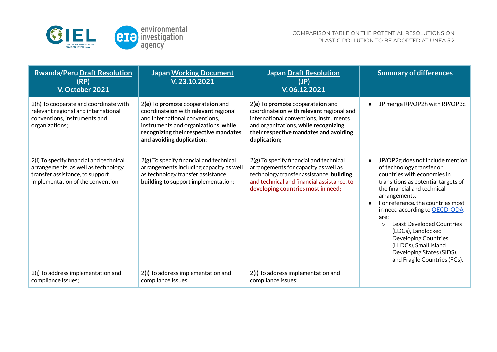

| <b>Rwanda/Peru Draft Resolution</b><br>(RP)<br>V. October 2021                                                                                        | <b>Japan Working Document</b><br>V.23.10.2021                                                                                                                                                                            | <b>Japan Draft Resolution</b><br>(JP)<br>V. 06.12.2021                                                                                                                                                                   | <b>Summary of differences</b>                                                                                                                                                                                                                                                                                                                                                                                                                        |
|-------------------------------------------------------------------------------------------------------------------------------------------------------|--------------------------------------------------------------------------------------------------------------------------------------------------------------------------------------------------------------------------|--------------------------------------------------------------------------------------------------------------------------------------------------------------------------------------------------------------------------|------------------------------------------------------------------------------------------------------------------------------------------------------------------------------------------------------------------------------------------------------------------------------------------------------------------------------------------------------------------------------------------------------------------------------------------------------|
| 2(h) To cooperate and coordinate with<br>relevant regional and international<br>conventions, instruments and<br>organizations;                        | 2(e) To promote cooperateion and<br>coordinateion with relevant regional<br>and international conventions,<br>instruments and organizations, while<br>recognizing their respective mandates<br>and avoiding duplication; | 2(e) To promote cooperateion and<br>coordinateion with relevant regional and<br>international conventions, instruments<br>and organizations, while recognizing<br>their respective mandates and avoiding<br>duplication; | JP merge RP/OP2h with RP/OP3c.                                                                                                                                                                                                                                                                                                                                                                                                                       |
| 2(i) To specify financial and technical<br>arrangements, as well as technology<br>transfer assistance, to support<br>implementation of the convention | 2(g) To specify financial and technical<br>arrangements including capacity as well<br>as technology transfer assistance,<br>building to support implementation;                                                          | 2(g) To specify financial and technical<br>arrangements for capacity as well as<br>technology transfer assistance, building<br>and technical and financial assistance, to<br>developing countries most in need;          | JP/OP2g does not include mention<br>of technology transfer or<br>countries with economies in<br>transitions as potential targets of<br>the financial and technical<br>arrangements.<br>For reference, the countries most<br>in need according to OECD-ODA<br>are:<br>Least Developed Countries<br>$\circ$<br>(LDCs), Landlocked<br><b>Developing Countries</b><br>(LLDCs), Small Island<br>Developing States (SIDS),<br>and Fragile Countries (FCs). |
| 2(j) To address implementation and<br>compliance issues;                                                                                              | 2(i) To address implementation and<br>compliance issues;                                                                                                                                                                 | 2(i) To address implementation and<br>compliance issues;                                                                                                                                                                 |                                                                                                                                                                                                                                                                                                                                                                                                                                                      |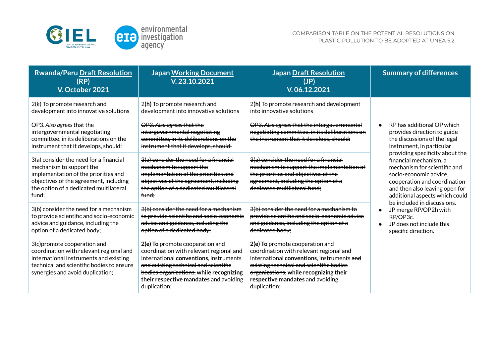

| <b>Rwanda/Peru Draft Resolution</b><br>(RP)<br>V. October 2021                                                                                                                                          | <b>Japan Working Document</b><br>V.23.10.2021                                                                                                                                                                                                                      | <b>Japan Draft Resolution</b><br>(JP)<br>V.06.12.2021                                                                                                                                                                                                              | <b>Summary of differences</b>                                                                                                                                                                                                                                                                                                                                                                                                                                            |
|---------------------------------------------------------------------------------------------------------------------------------------------------------------------------------------------------------|--------------------------------------------------------------------------------------------------------------------------------------------------------------------------------------------------------------------------------------------------------------------|--------------------------------------------------------------------------------------------------------------------------------------------------------------------------------------------------------------------------------------------------------------------|--------------------------------------------------------------------------------------------------------------------------------------------------------------------------------------------------------------------------------------------------------------------------------------------------------------------------------------------------------------------------------------------------------------------------------------------------------------------------|
| 2(k) To promote research and<br>development into innovative solutions                                                                                                                                   | 2(h) To promote research and<br>development into innovative solutions                                                                                                                                                                                              | 2(h) To promote research and development<br>into innovative solutions                                                                                                                                                                                              |                                                                                                                                                                                                                                                                                                                                                                                                                                                                          |
| OP3. Also agrees that the<br>intergovernmental negotiating<br>committee, in its deliberations on the<br>instrument that it develops, should:                                                            | OP3. Also agrees that the<br>intergovernmental negotiating<br>committee, in its deliberations on the<br>instrument that it develops, should:                                                                                                                       | OP3. Also agrees that the intergovernmental<br>negotiating committee, in its deliberations on<br>the instrument that it develops, should:                                                                                                                          | RP has additional OP which<br>provides direction to guide<br>the discussions of the legal<br>instrument, in particular<br>providing specificity about the<br>financial mechanism, a<br>mechanism for scientific and<br>socio-economic advice,<br>cooperation and coordination<br>and then also leaving open for<br>additional aspects which could<br>be included in discussions.<br>JP merge RP/OP2h with<br>RP/OP3c.<br>JP does not include this<br>specific direction. |
| 3(a) consider the need for a financial<br>mechanism to support the<br>implementation of the priorities and<br>objectives of the agreement, including<br>the option of a dedicated multilateral<br>fund: | 3(a) consider the need for a financial<br>mechanism to support the<br>implementation of the priorities and<br>objectives of the agreement, including<br>the option of a dedicated multilateral<br>fund:                                                            | 3(a) consider the need for a financial<br>mechanism to support the implementation of<br>the priorities and objectives of the<br>agreement, including the option of a<br>dedicated multilateral fund:                                                               |                                                                                                                                                                                                                                                                                                                                                                                                                                                                          |
| 3(b) consider the need for a mechanism<br>to provide scientific and socio-economic<br>advice and guidance, including the<br>option of a dedicated body;                                                 | 3(b) consider the need for a mechanism<br>to provide scientific and socio economic<br>advice and guidance, including the<br>option of a dedicated body;                                                                                                            | 3(b) consider the need for a mechanism to<br>provide scientific and socio economic advice<br>and guidance, including the option of a<br>dedicated body:                                                                                                            |                                                                                                                                                                                                                                                                                                                                                                                                                                                                          |
| 3(c) promote cooperation and<br>coordination with relevant regional and<br>international instruments and existing<br>technical and scientific bodies to ensure<br>synergies and avoid duplication;      | 2(e) To promote cooperation and<br>coordination with relevant regional and<br>international conventions, instruments<br>and existing technical and scientific<br>bodies organizations, while recognizing<br>their respective mandates and avoiding<br>duplication; | 2(e) To promote cooperation and<br>coordination with relevant regional and<br>international conventions, instruments and<br>existing technical and scientific bodies<br>organizations, while recognizing their<br>respective mandates and avoiding<br>duplication; |                                                                                                                                                                                                                                                                                                                                                                                                                                                                          |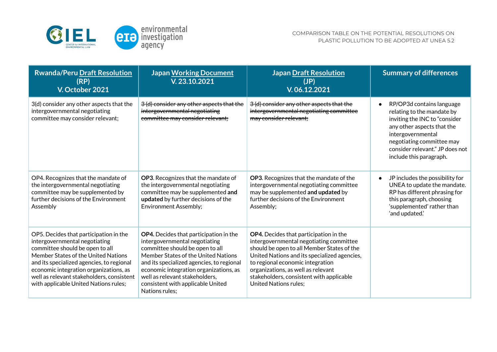

| <b>Rwanda/Peru Draft Resolution</b><br>(RP)<br>V. October 2021                                                                                                                                                                                                                                                                 | <b>Japan Working Document</b><br>V.23.10.2021                                                                                                                                                                                                                                                                                     | <b>Japan Draft Resolution</b><br>(JP)<br>V.06.12.2021                                                                                                                                                                                                                                                                          | <b>Summary of differences</b>                                                                                                                                                                                                                       |
|--------------------------------------------------------------------------------------------------------------------------------------------------------------------------------------------------------------------------------------------------------------------------------------------------------------------------------|-----------------------------------------------------------------------------------------------------------------------------------------------------------------------------------------------------------------------------------------------------------------------------------------------------------------------------------|--------------------------------------------------------------------------------------------------------------------------------------------------------------------------------------------------------------------------------------------------------------------------------------------------------------------------------|-----------------------------------------------------------------------------------------------------------------------------------------------------------------------------------------------------------------------------------------------------|
| 3(d) consider any other aspects that the<br>intergovernmental negotiating<br>committee may consider relevant;                                                                                                                                                                                                                  | 3 (d) consider any other aspects that the<br>intergovernmental negotiating<br>committee may consider relevant;                                                                                                                                                                                                                    | 3 (d) consider any other aspects that the<br>intergovernmental negotiating committee<br>may consider relevant;                                                                                                                                                                                                                 | RP/OP3d contains language<br>$\bullet$<br>relating to the mandate by<br>inviting the INC to "consider<br>any other aspects that the<br>intergovernmental<br>negotiating committee may<br>consider relevant." JP does not<br>include this paragraph. |
| OP4. Recognizes that the mandate of<br>the intergovernmental negotiating<br>committee may be supplemented by<br>further decisions of the Environment<br>Assembly                                                                                                                                                               | OP3. Recognizes that the mandate of<br>the intergovernmental negotiating<br>committee may be supplemented and<br>updated by further decisions of the<br><b>Environment Assembly;</b>                                                                                                                                              | OP3. Recognizes that the mandate of the<br>intergovernmental negotiating committee<br>may be supplemented and updated by<br>further decisions of the Environment<br>Assembly;                                                                                                                                                  | JP includes the possibility for<br>$\bullet$<br>UNEA to update the mandate.<br>RP has different phrasing for<br>this paragraph, choosing<br>'supplemented' rather than<br>'and updated.'                                                            |
| OP5. Decides that participation in the<br>intergovernmental negotiating<br>committee should be open to all<br>Member States of the United Nations<br>and its specialized agencies, to regional<br>economic integration organizations, as<br>well as relevant stakeholders, consistent<br>with applicable United Nations rules; | OP4. Decides that participation in the<br>intergovernmental negotiating<br>committee should be open to all<br>Member States of the United Nations<br>and its specialized agencies, to regional<br>economic integration organizations, as<br>well as relevant stakeholders,<br>consistent with applicable United<br>Nations rules; | OP4. Decides that participation in the<br>intergovernmental negotiating committee<br>should be open to all Member States of the<br>United Nations and its specialized agencies,<br>to regional economic integration<br>organizations, as well as relevant<br>stakeholders, consistent with applicable<br>United Nations rules: |                                                                                                                                                                                                                                                     |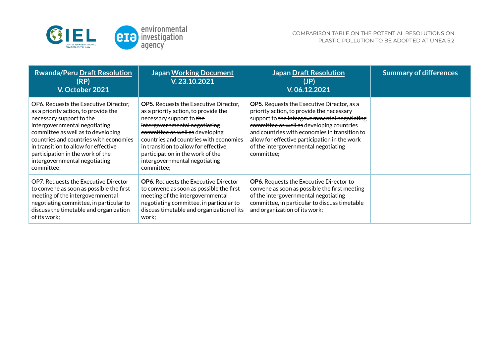

| <b>Rwanda/Peru Draft Resolution</b><br>(RP)<br>V. October 2021                                                                                                                                                                                                                                                                                        | <b>Japan Working Document</b><br>V.23.10.2021                                                                                                                                                                                                                                                                                                             | <b>Japan Draft Resolution</b><br>(JP)<br>V. 06.12.2021                                                                                                                                                                                                                                                                                              | <b>Summary of differences</b> |
|-------------------------------------------------------------------------------------------------------------------------------------------------------------------------------------------------------------------------------------------------------------------------------------------------------------------------------------------------------|-----------------------------------------------------------------------------------------------------------------------------------------------------------------------------------------------------------------------------------------------------------------------------------------------------------------------------------------------------------|-----------------------------------------------------------------------------------------------------------------------------------------------------------------------------------------------------------------------------------------------------------------------------------------------------------------------------------------------------|-------------------------------|
| OP6. Requests the Executive Director,<br>as a priority action, to provide the<br>necessary support to the<br>intergovernmental negotiating<br>committee as well as to developing<br>countries and countries with economies<br>in transition to allow for effective<br>participation in the work of the<br>intergovernmental negotiating<br>committee; | <b>OP5.</b> Requests the Executive Director,<br>as a priority action, to provide the<br>necessary support to the<br>intergovernmental negotiating<br>committee as well as developing<br>countries and countries with economies<br>in transition to allow for effective<br>participation in the work of the<br>intergovernmental negotiating<br>committee; | <b>OP5.</b> Requests the Executive Director, as a<br>priority action, to provide the necessary<br>support to the intergovernmental negotiating<br>committee as well as developing countries<br>and countries with economies in transition to<br>allow for effective participation in the work<br>of the intergovernmental negotiating<br>committee: |                               |
| OP7. Requests the Executive Director<br>to convene as soon as possible the first<br>meeting of the intergovernmental<br>negotiating committee, in particular to<br>discuss the timetable and organization<br>of its work:                                                                                                                             | <b>OP6.</b> Requests the Executive Director<br>to convene as soon as possible the first<br>meeting of the intergovernmental<br>negotiating committee, in particular to<br>discuss timetable and organization of its<br>work;                                                                                                                              | <b>OP6.</b> Requests the Executive Director to<br>convene as soon as possible the first meeting<br>of the intergovernmental negotiating<br>committee, in particular to discuss timetable<br>and organization of its work;                                                                                                                           |                               |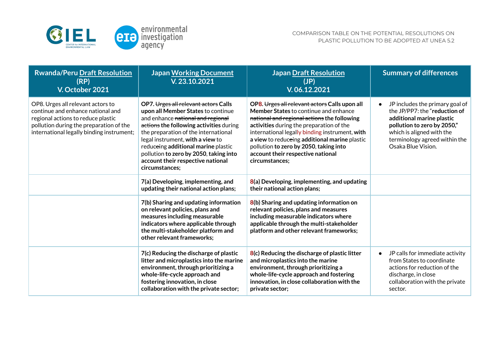

| <b>Rwanda/Peru Draft Resolution</b><br>(RP)<br>V. October 2021                                                                                                                                       | <b>Japan Working Document</b><br>V.23.10.2021                                                                                                                                                                                                                                                                                                                                  | <b>Japan Draft Resolution</b><br>(JP)<br>V. 06.12.2021                                                                                                                                                                                                                                                                                                                                       | <b>Summary of differences</b>                                                                                                                                                                                                 |
|------------------------------------------------------------------------------------------------------------------------------------------------------------------------------------------------------|--------------------------------------------------------------------------------------------------------------------------------------------------------------------------------------------------------------------------------------------------------------------------------------------------------------------------------------------------------------------------------|----------------------------------------------------------------------------------------------------------------------------------------------------------------------------------------------------------------------------------------------------------------------------------------------------------------------------------------------------------------------------------------------|-------------------------------------------------------------------------------------------------------------------------------------------------------------------------------------------------------------------------------|
| OP8. Urges all relevant actors to<br>continue and enhance national and<br>regional actions to reduce plastic<br>pollution during the preparation of the<br>international legally binding instrument; | OP7. Urges all relevant actors Calls<br>upon all Member States to continue<br>and enhance national and regional<br>actions the following activities during<br>the preparation of the international<br>legal instrument, with a view to<br>reduceing additional marine plastic<br>pollution to zero by 2050, taking into<br>account their respective national<br>circumstances; | OP8. Urges all relevant actors Calls upon all<br><b>Member States to continue and enhance</b><br>national and regional actions the following<br>activities during the preparation of the<br>international legally binding instrument, with<br>a view to reduceing additional marine plastic<br>pollution to zero by 2050, taking into<br>account their respective national<br>circumstances: | JP includes the primary goal of<br>$\bullet$<br>the JP/PP7: the "reduction of<br>additional marine plastic<br>pollution to zero by 2050,"<br>which is aligned with the<br>terminology agreed within the<br>Osaka Blue Vision. |
|                                                                                                                                                                                                      | 7(a) Developing, implementing, and<br>updating their national action plans;                                                                                                                                                                                                                                                                                                    | $8(a)$ Developing, implementing, and updating<br>their national action plans;                                                                                                                                                                                                                                                                                                                |                                                                                                                                                                                                                               |
|                                                                                                                                                                                                      | 7(b) Sharing and updating information<br>on relevant policies, plans and<br>measures including measurable<br>indicators where applicable through<br>the multi-stakeholder platform and<br>other relevant frameworks;                                                                                                                                                           | 8(b) Sharing and updating information on<br>relevant policies, plans and measures<br>including measurable indicators where<br>applicable through the multi-stakeholder<br>platform and other relevant frameworks;                                                                                                                                                                            |                                                                                                                                                                                                                               |
|                                                                                                                                                                                                      | 7(c) Reducing the discharge of plastic<br>litter and microplastics into the marine<br>environment, through prioritizing a<br>whole-life-cycle approach and<br>fostering innovation, in close<br>collaboration with the private sector;                                                                                                                                         | 8(c) Reducing the discharge of plastic litter<br>and microplastics into the marine<br>environment, through prioritizing a<br>whole-life-cycle approach and fostering<br>innovation, in close collaboration with the<br>private sector;                                                                                                                                                       | JP calls for immediate activity<br>from States to coordinate<br>actions for reduction of the<br>discharge, in close<br>collaboration with the private<br>sector.                                                              |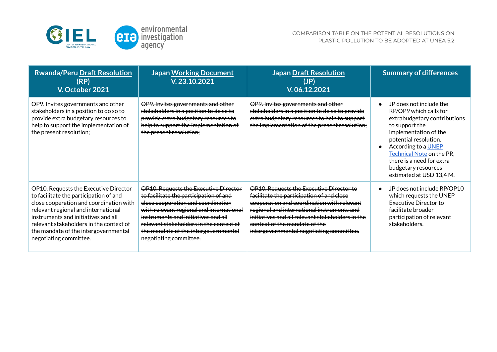

| <b>Rwanda/Peru Draft Resolution</b><br>(RP)<br>V. October 2021                                                                                                                                                                                                                                                        | <b>Japan Working Document</b><br>V.23.10.2021                                                                                                                                                                                                                                                                         | <b>Japan Draft Resolution</b><br>(JP)<br>V.06.12.2021                                                                                                                                                                                                                                                              | <b>Summary of differences</b>                                                                                                                                                                                                                                                                    |
|-----------------------------------------------------------------------------------------------------------------------------------------------------------------------------------------------------------------------------------------------------------------------------------------------------------------------|-----------------------------------------------------------------------------------------------------------------------------------------------------------------------------------------------------------------------------------------------------------------------------------------------------------------------|--------------------------------------------------------------------------------------------------------------------------------------------------------------------------------------------------------------------------------------------------------------------------------------------------------------------|--------------------------------------------------------------------------------------------------------------------------------------------------------------------------------------------------------------------------------------------------------------------------------------------------|
| OP9. Invites governments and other<br>stakeholders in a position to do so to<br>provide extra budgetary resources to<br>help to support the implementation of<br>the present resolution;                                                                                                                              | OP9. Invites governments and other<br>stakeholders in a position to do so to<br>provide extra budgetary resources to<br>help to support the implementation of<br>the present resolution;                                                                                                                              | OP9. Invites governments and other<br>stakeholders in a position to do so to provide<br>extra budgetary resources to help to support<br>the implementation of the present resolution;                                                                                                                              | JP does not include the<br>RP/OP9 which calls for<br>extrabudgetary contributions<br>to support the<br>implementation of the<br>potential resolution.<br>According to a <b>UNEP</b><br>Technical Note on the PR,<br>there is a need for extra<br>budgetary resources<br>estimated at USD 13,4 M. |
| OP10. Requests the Executive Director<br>to facilitate the participation of and<br>close cooperation and coordination with<br>relevant regional and international<br>instruments and initiatives and all<br>relevant stakeholders in the context of<br>the mandate of the intergovernmental<br>negotiating committee. | OP10. Requests the Executive Director<br>to facilitate the participation of and<br>close cooperation and coordination<br>with relevant regional and international<br>instruments and initiatives and all<br>relevant stakeholders in the context of<br>the mandate of the intergovernmental<br>negotiating committee. | OP10. Requests the Executive Director to<br>facilitate the participation of and close<br>cooperation and coordination with relevant<br>regional and international instruments and<br>initiatives and all relevant stakeholders in the<br>context of the mandate of the<br>intergovernmental negotiating committee. | JP does not include RP/OP10<br>which requests the UNEP<br><b>Executive Director to</b><br>facilitate broader<br>participation of relevant<br>stakeholders.                                                                                                                                       |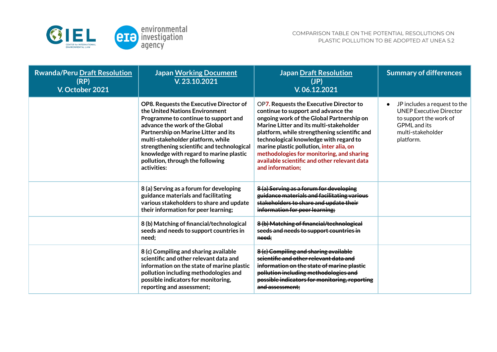

| <b>Rwanda/Peru Draft Resolution</b><br>(RP)<br>V. October 2021 | <b>Japan Working Document</b><br>V.23.10.2021                                                                                                                                                                                                                                                                                                                                | <b>Japan Draft Resolution</b><br>(JP)<br>V.06.12.2021                                                                                                                                                                                                                                                                                                                                                                         | <b>Summary of differences</b>                                                                                                                     |
|----------------------------------------------------------------|------------------------------------------------------------------------------------------------------------------------------------------------------------------------------------------------------------------------------------------------------------------------------------------------------------------------------------------------------------------------------|-------------------------------------------------------------------------------------------------------------------------------------------------------------------------------------------------------------------------------------------------------------------------------------------------------------------------------------------------------------------------------------------------------------------------------|---------------------------------------------------------------------------------------------------------------------------------------------------|
|                                                                | OP8. Requests the Executive Director of<br>the United Nations Environment<br>Programme to continue to support and<br>advance the work of the Global<br>Partnership on Marine Litter and its<br>multi-stakeholder platform, while<br>strengthening scientific and technological<br>knowledge with regard to marine plastic<br>pollution, through the following<br>activities: | OP7. Requests the Executive Director to<br>continue to support and advance the<br>ongoing work of the Global Partnership on<br>Marine Litter and its multi-stakeholder<br>platform, while strengthening scientific and<br>technological knowledge with regard to<br>marine plastic pollution, inter alia, on<br>methodologies for monitoring, and sharing<br>available scientific and other relevant data<br>and information; | JP includes a request to the<br><b>UNEP Executive Director</b><br>to support the work of<br><b>GPML</b> and its<br>multi-stakeholder<br>platform. |
|                                                                | 8 (a) Serving as a forum for developing<br>guidance materials and facilitating<br>various stakeholders to share and update<br>their information for peer learning;                                                                                                                                                                                                           | 8 (a) Serving as a forum for developing<br>guidance materials and facilitating various<br>stakeholders to share and update their<br>information for peer learning;                                                                                                                                                                                                                                                            |                                                                                                                                                   |
|                                                                | 8 (b) Matching of financial/technological<br>seeds and needs to support countries in<br>need;                                                                                                                                                                                                                                                                                | 8 (b) Matching of financial/technological<br>seeds and needs to support countries in<br>need:                                                                                                                                                                                                                                                                                                                                 |                                                                                                                                                   |
|                                                                | 8 (c) Compiling and sharing available<br>scientific and other relevant data and<br>information on the state of marine plastic<br>pollution including methodologies and<br>possible indicators for monitoring,<br>reporting and assessment;                                                                                                                                   | 8(c) Compiling and sharing available<br>scientific and other relevant data and<br>information on the state of marine plastic<br>pollution including methodologies and<br>possible indicators for monitoring, reporting<br>and assessment:                                                                                                                                                                                     |                                                                                                                                                   |